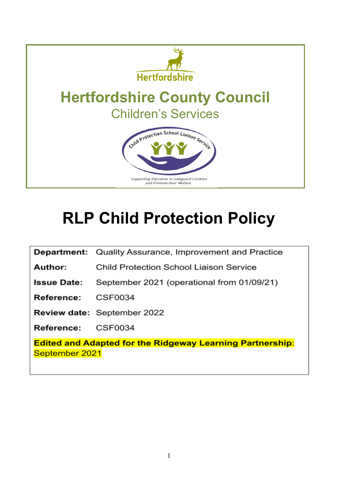

# **RLP Child Protection Policy**

Department: Quality Assurance, Improvement and Practice

Child Protection School Liaison Service Author:

September 2021 (operational from 01/09/21) **Issue Date:** 

Reference: **CSF0034** 

Review date: September 2022

CSF0034 Reference:

**Edited and Adapted for the Ridgeway Learning Partnership:** September 2021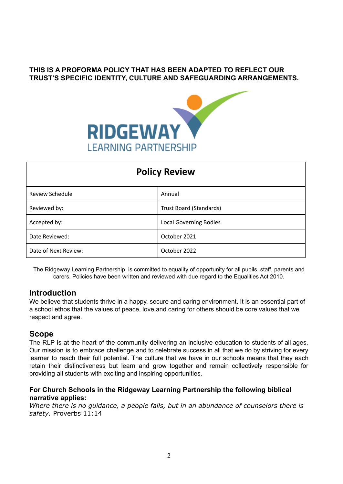## **THIS IS A PROFORMA POLICY THAT HAS BEEN ADAPTED TO REFLECT OUR TRUST'S SPECIFIC IDENTITY, CULTURE AND SAFEGUARDING ARRANGEMENTS.**



| <b>Policy Review</b> |                               |  |
|----------------------|-------------------------------|--|
| Review Schedule      | Annual                        |  |
| Reviewed by:         | Trust Board (Standards)       |  |
| Accepted by:         | <b>Local Governing Bodies</b> |  |
| Date Reviewed:       | October 2021                  |  |
| Date of Next Review: | October 2022                  |  |

The Ridgeway Learning Partnership is committed to equality of opportunity for all pupils, staff, parents and carers. Policies have been written and reviewed with due regard to the Equalities Act 2010.

#### **Introduction**

We believe that students thrive in a happy, secure and caring environment. It is an essential part of a school ethos that the values of peace, love and caring for others should be core values that we respect and agree.

## **Scope**

The RLP is at the heart of the community delivering an inclusive education to students of all ages. Our mission is to embrace challenge and to celebrate success in all that we do by striving for every learner to reach their full potential. The culture that we have in our schools means that they each retain their distinctiveness but learn and grow together and remain collectively responsible for providing all students with exciting and inspiring opportunities.

#### **For Church Schools in the Ridgeway Learning Partnership the following biblical narrative applies:**

*Where there is no guidance, a people falls, but in an abundance of counselors there is safety.* Proverbs 11:14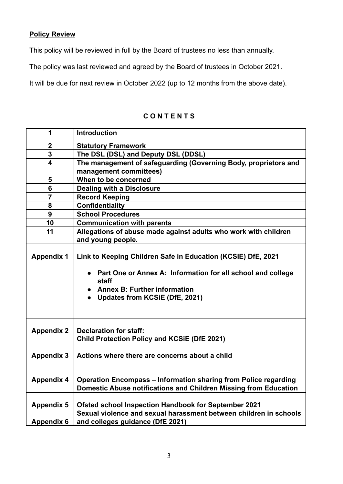## **Policy Review**

This policy will be reviewed in full by the Board of trustees no less than annually.

The policy was last reviewed and agreed by the Board of trustees in October 2021.

It will be due for next review in October 2022 (up to 12 months from the above date).

| 1                 | <b>Introduction</b>                                                                                                                                                                                                               |
|-------------------|-----------------------------------------------------------------------------------------------------------------------------------------------------------------------------------------------------------------------------------|
| $\mathbf 2$       | <b>Statutory Framework</b>                                                                                                                                                                                                        |
| 3                 | The DSL (DSL) and Deputy DSL (DDSL)                                                                                                                                                                                               |
| 4                 | The management of safeguarding (Governing Body, proprietors and                                                                                                                                                                   |
|                   | management committees)                                                                                                                                                                                                            |
| 5                 | When to be concerned                                                                                                                                                                                                              |
| 6                 | <b>Dealing with a Disclosure</b>                                                                                                                                                                                                  |
| $\overline{7}$    | <b>Record Keeping</b>                                                                                                                                                                                                             |
| 8                 | <b>Confidentiality</b>                                                                                                                                                                                                            |
| 9                 | <b>School Procedures</b>                                                                                                                                                                                                          |
| 10                | <b>Communication with parents</b>                                                                                                                                                                                                 |
| 11                | Allegations of abuse made against adults who work with children                                                                                                                                                                   |
|                   | and young people.                                                                                                                                                                                                                 |
| <b>Appendix 1</b> | Link to Keeping Children Safe in Education (KCSIE) DfE, 2021<br>Part One or Annex A: Information for all school and college<br>staff<br><b>Annex B: Further information</b><br><b>Updates from KCSiE (DfE, 2021)</b><br>$\bullet$ |
| <b>Appendix 2</b> | <b>Declaration for staff:</b><br><b>Child Protection Policy and KCSiE (DfE 2021)</b>                                                                                                                                              |
| <b>Appendix 3</b> | Actions where there are concerns about a child                                                                                                                                                                                    |
| <b>Appendix 4</b> | Operation Encompass - Information sharing from Police regarding<br>Domestic Abuse notifications and Children Missing from Education                                                                                               |
|                   |                                                                                                                                                                                                                                   |
| <b>Appendix 5</b> | <b>Ofsted school Inspection Handbook for September 2021</b>                                                                                                                                                                       |
|                   | Sexual violence and sexual harassment between children in schools                                                                                                                                                                 |
| <b>Appendix 6</b> | and colleges guidance (DfE 2021)                                                                                                                                                                                                  |

## **C O N T E N T S**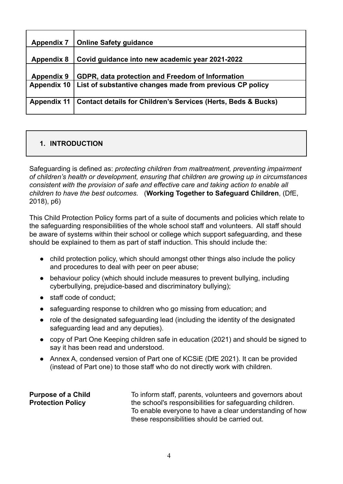| <b>Appendix 7</b>  | <b>Online Safety guidance</b>                                            |
|--------------------|--------------------------------------------------------------------------|
| <b>Appendix 8</b>  | Covid guidance into new academic year 2021-2022                          |
| <b>Appendix 9</b>  | GDPR, data protection and Freedom of Information                         |
| <b>Appendix 10</b> | List of substantive changes made from previous CP policy                 |
| <b>Appendix 11</b> | <b>Contact details for Children's Services (Herts, Beds &amp; Bucks)</b> |

## **1. INTRODUCTION**

Safeguarding is defined as: *protecting children from maltreatment, preventing impairment of children's health or development, ensuring that children are growing up in circumstances consistent with the provision of safe and effective care and taking action to enable all children to have the best outcomes.* (**Working Together to Safeguard Children**, (DfE, 2018), p6)

This Child Protection Policy forms part of a suite of documents and policies which relate to the safeguarding responsibilities of the whole school staff and volunteers. All staff should be aware of systems within their school or college which support safeguarding, and these should be explained to them as part of staff induction. This should include the:

- child protection policy, which should amongst other things also include the policy and procedures to deal with peer on peer abuse;
- behaviour policy (which should include measures to prevent bullying, including cyberbullying, prejudice-based and discriminatory bullying);
- staff code of conduct;
- safeguarding response to children who go missing from education; and
- role of the designated safeguarding lead (including the identity of the designated safeguarding lead and any deputies).
- copy of Part One Keeping children safe in education (2021) and should be signed to say it has been read and understood.
- Annex A, condensed version of Part one of KCSiE (DfE 2021). It can be provided (instead of Part one) to those staff who do not directly work with children.

**Purpose of a Child Protection Policy**

To inform staff, parents, volunteers and governors about the school's responsibilities for safeguarding children. To enable everyone to have a clear understanding of how these responsibilities should be carried out.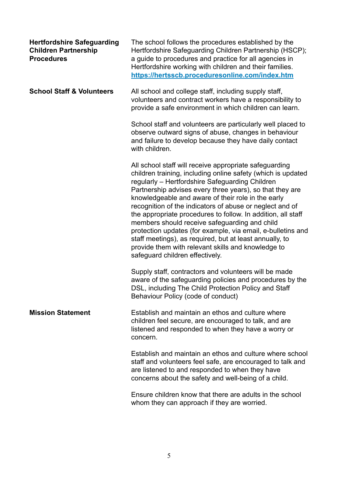| <b>Hertfordshire Safeguarding</b><br><b>Children Partnership</b><br><b>Procedures</b> | The school follows the procedures established by the<br>Hertfordshire Safeguarding Children Partnership (HSCP);<br>a guide to procedures and practice for all agencies in<br>Hertfordshire working with children and their families.<br>https://hertsscb.proceduresonline.com/index.htm                                                                                                                                                                                                                                                                                                                                                                                                     |
|---------------------------------------------------------------------------------------|---------------------------------------------------------------------------------------------------------------------------------------------------------------------------------------------------------------------------------------------------------------------------------------------------------------------------------------------------------------------------------------------------------------------------------------------------------------------------------------------------------------------------------------------------------------------------------------------------------------------------------------------------------------------------------------------|
| <b>School Staff &amp; Volunteers</b>                                                  | All school and college staff, including supply staff,<br>volunteers and contract workers have a responsibility to<br>provide a safe environment in which children can learn.                                                                                                                                                                                                                                                                                                                                                                                                                                                                                                                |
|                                                                                       | School staff and volunteers are particularly well placed to<br>observe outward signs of abuse, changes in behaviour<br>and failure to develop because they have daily contact<br>with children.                                                                                                                                                                                                                                                                                                                                                                                                                                                                                             |
|                                                                                       | All school staff will receive appropriate safeguarding<br>children training, including online safety (which is updated<br>regularly - Hertfordshire Safeguarding Children<br>Partnership advises every three years), so that they are<br>knowledgeable and aware of their role in the early<br>recognition of the indicators of abuse or neglect and of<br>the appropriate procedures to follow. In addition, all staff<br>members should receive safeguarding and child<br>protection updates (for example, via email, e-bulletins and<br>staff meetings), as required, but at least annually, to<br>provide them with relevant skills and knowledge to<br>safeguard children effectively. |
|                                                                                       | Supply staff, contractors and volunteers will be made<br>aware of the safeguarding policies and procedures by the<br>DSL, including The Child Protection Policy and Staff<br>Behaviour Policy (code of conduct)                                                                                                                                                                                                                                                                                                                                                                                                                                                                             |
| <b>Mission Statement</b>                                                              | Establish and maintain an ethos and culture where<br>children feel secure, are encouraged to talk, and are<br>listened and responded to when they have a worry or<br>concern.                                                                                                                                                                                                                                                                                                                                                                                                                                                                                                               |
|                                                                                       | Establish and maintain an ethos and culture where school<br>staff and volunteers feel safe, are encouraged to talk and<br>are listened to and responded to when they have<br>concerns about the safety and well-being of a child.                                                                                                                                                                                                                                                                                                                                                                                                                                                           |
|                                                                                       | Ensure children know that there are adults in the school<br>whom they can approach if they are worried.                                                                                                                                                                                                                                                                                                                                                                                                                                                                                                                                                                                     |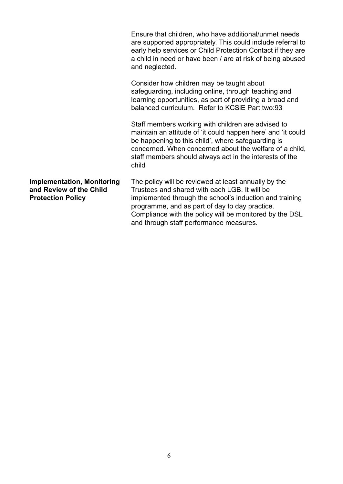|                                                                                          | Ensure that children, who have additional/unmet needs<br>are supported appropriately. This could include referral to<br>early help services or Child Protection Contact if they are<br>a child in need or have been / are at risk of being abused<br>and neglected.                                                      |
|------------------------------------------------------------------------------------------|--------------------------------------------------------------------------------------------------------------------------------------------------------------------------------------------------------------------------------------------------------------------------------------------------------------------------|
|                                                                                          | Consider how children may be taught about<br>safeguarding, including online, through teaching and<br>learning opportunities, as part of providing a broad and<br>balanced curriculum. Refer to KCSiE Part two:93                                                                                                         |
|                                                                                          | Staff members working with children are advised to<br>maintain an attitude of 'it could happen here' and 'it could<br>be happening to this child', where safeguarding is<br>concerned. When concerned about the welfare of a child,<br>staff members should always act in the interests of the<br>child                  |
| <b>Implementation, Monitoring</b><br>and Review of the Child<br><b>Protection Policy</b> | The policy will be reviewed at least annually by the<br>Trustees and shared with each LGB. It will be<br>implemented through the school's induction and training<br>programme, and as part of day to day practice.<br>Compliance with the policy will be monitored by the DSL<br>and through staff performance measures. |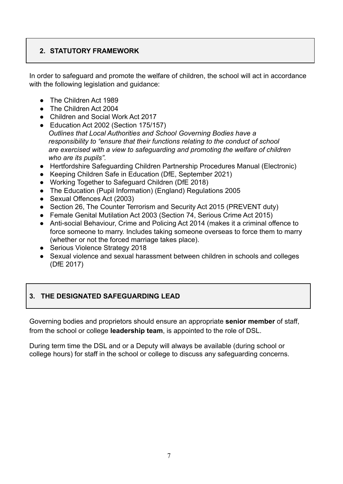## **2. STATUTORY FRAMEWORK**

In order to safeguard and promote the welfare of children, the school will act in accordance with the following legislation and guidance:

- The Children Act 1989
- The Children Act 2004
- Children and Social Work Act 2017
- Education Act 2002 (Section 175/157) *Outlines that Local Authorities and School Governing Bodies have a responsibility to "ensure that their functions relating to the conduct of school are exercised with a view to safeguarding and promoting the welfare of children who are its pupils".*
- Hertfordshire Safeguarding Children Partnership Procedures Manual (Electronic)
- Keeping Children Safe in Education (DfE, September 2021)
- Working Together to Safeguard Children (DfE 2018)
- The Education (Pupil Information) (England) Regulations 2005
- Sexual Offences Act (2003)
- Section 26, The Counter Terrorism and Security Act 2015 (PREVENT duty)
- Female Genital Mutilation Act 2003 (Section 74, Serious Crime Act 2015)
- Anti-social Behaviour, Crime and Policing Act 2014 (makes it a criminal offence to force someone to marry. Includes taking someone overseas to force them to marry (whether or not the forced marriage takes place).
- Serious Violence Strategy 2018
- Sexual violence and sexual harassment between children in schools and colleges (DfE 2017)

## **3. THE DESIGNATED SAFEGUARDING LEAD**

Governing bodies and proprietors should ensure an appropriate **senior member** of staff, from the school or college **leadership team**, is appointed to the role of DSL.

During term time the DSL and or a Deputy will always be available (during school or college hours) for staff in the school or college to discuss any safeguarding concerns.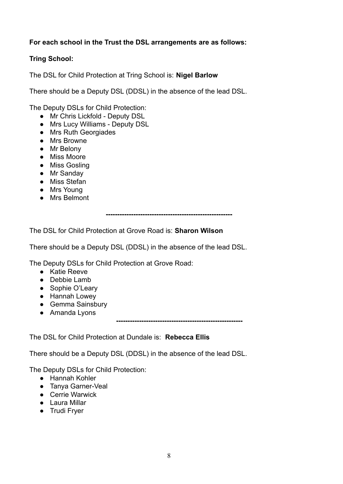## **For each school in the Trust the DSL arrangements are as follows:**

## **Tring School:**

The DSL for Child Protection at Tring School is: **Nigel Barlow**

There should be a Deputy DSL (DDSL) in the absence of the lead DSL.

The Deputy DSLs for Child Protection:

- Mr Chris Lickfold Deputy DSL
- Mrs Lucy Williams Deputy DSL
- Mrs Ruth Georgiades
- Mrs Browne
- Mr Belony
- Miss Moore
- Miss Gosling
- Mr Sanday
- Miss Stefan
- Mrs Young
- Mrs Belmont

**-------------------------------------------------------**

The DSL for Child Protection at Grove Road is: **Sharon Wilson**

There should be a Deputy DSL (DDSL) in the absence of the lead DSL.

The Deputy DSLs for Child Protection at Grove Road:

- Katie Reeve
- Debbie Lamb
- Sophie O'Leary
- Hannah Lowey
- Gemma Sainsbury
- Amanda Lyons

**-------------------------------------------------------**

The DSL for Child Protection at Dundale is: **Rebecca Ellis**

There should be a Deputy DSL (DDSL) in the absence of the lead DSL.

The Deputy DSLs for Child Protection:

- Hannah Kohler
- Tanya Garner-Veal
- Cerrie Warwick
- Laura Millar
- Trudi Fryer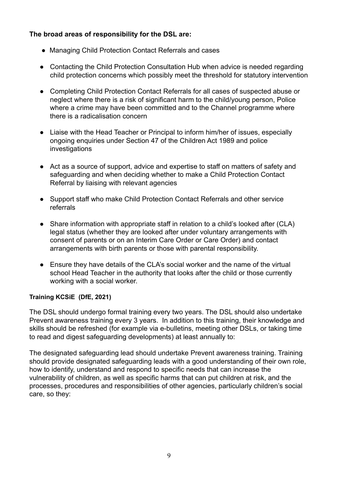## **The broad areas of responsibility for the DSL are:**

- Managing Child Protection Contact Referrals and cases
- Contacting the Child Protection Consultation Hub when advice is needed regarding child protection concerns which possibly meet the threshold for statutory intervention
- Completing Child Protection Contact Referrals for all cases of suspected abuse or neglect where there is a risk of significant harm to the child/young person, Police where a crime may have been committed and to the Channel programme where there is a radicalisation concern
- Liaise with the Head Teacher or Principal to inform him/her of issues, especially ongoing enquiries under Section 47 of the Children Act 1989 and police investigations
- Act as a source of support, advice and expertise to staff on matters of safety and safeguarding and when deciding whether to make a Child Protection Contact Referral by liaising with relevant agencies
- Support staff who make Child Protection Contact Referrals and other service referrals
- Share information with appropriate staff in relation to a child's looked after (CLA) legal status (whether they are looked after under voluntary arrangements with consent of parents or on an Interim Care Order or Care Order) and contact arrangements with birth parents or those with parental responsibility.
- Ensure they have details of the CLA's social worker and the name of the virtual school Head Teacher in the authority that looks after the child or those currently working with a social worker.

## **Training KCSiE (DfE, 2021)**

The DSL should undergo formal training every two years. The DSL should also undertake Prevent awareness training every 3 years. In addition to this training, their knowledge and skills should be refreshed (for example via e-bulletins, meeting other DSLs, or taking time to read and digest safeguarding developments) at least annually to:

The designated safeguarding lead should undertake Prevent awareness training. Training should provide designated safeguarding leads with a good understanding of their own role, how to identify, understand and respond to specific needs that can increase the vulnerability of children, as well as specific harms that can put children at risk, and the processes, procedures and responsibilities of other agencies, particularly children's social care, so they: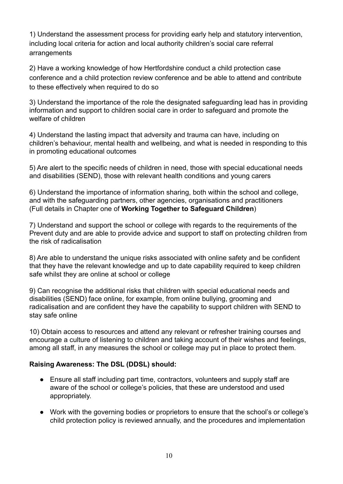1) Understand the assessment process for providing early help and statutory intervention, including local criteria for action and local authority children's social care referral arrangements

2) Have a working knowledge of how Hertfordshire conduct a child protection case conference and a child protection review conference and be able to attend and contribute to these effectively when required to do so

3) Understand the importance of the role the designated safeguarding lead has in providing information and support to children social care in order to safeguard and promote the welfare of children

4) Understand the lasting impact that adversity and trauma can have, including on children's behaviour, mental health and wellbeing, and what is needed in responding to this in promoting educational outcomes

5) Are alert to the specific needs of children in need, those with special educational needs and disabilities (SEND), those with relevant health conditions and young carers

6) Understand the importance of information sharing, both within the school and college, and with the safeguarding partners, other agencies, organisations and practitioners (Full details in Chapter one of **Working Together to Safeguard Children**)

7) Understand and support the school or college with regards to the requirements of the Prevent duty and are able to provide advice and support to staff on protecting children from the risk of radicalisation

8) Are able to understand the unique risks associated with online safety and be confident that they have the relevant knowledge and up to date capability required to keep children safe whilst they are online at school or college

9) Can recognise the additional risks that children with special educational needs and disabilities (SEND) face online, for example, from online bullying, grooming and radicalisation and are confident they have the capability to support children with SEND to stay safe online

10) Obtain access to resources and attend any relevant or refresher training courses and encourage a culture of listening to children and taking account of their wishes and feelings, among all staff, in any measures the school or college may put in place to protect them.

## **Raising Awareness: The DSL (DDSL) should:**

- Ensure all staff including part time, contractors, volunteers and supply staff are aware of the school or college's policies, that these are understood and used appropriately.
- Work with the governing bodies or proprietors to ensure that the school's or college's child protection policy is reviewed annually, and the procedures and implementation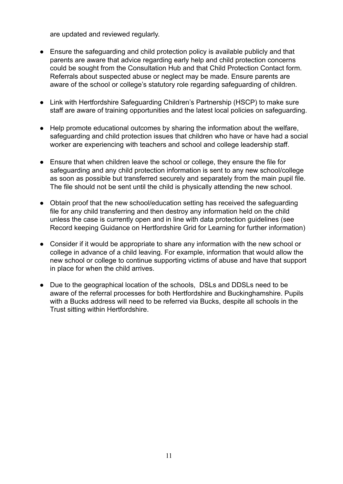are updated and reviewed regularly.

- Ensure the safeguarding and child protection policy is available publicly and that parents are aware that advice regarding early help and child protection concerns could be sought from the Consultation Hub and that Child Protection Contact form. Referrals about suspected abuse or neglect may be made. Ensure parents are aware of the school or college's statutory role regarding safeguarding of children.
- Link with Hertfordshire Safeguarding Children's Partnership (HSCP) to make sure staff are aware of training opportunities and the latest local policies on safeguarding.
- Help promote educational outcomes by sharing the information about the welfare, safeguarding and child protection issues that children who have or have had a social worker are experiencing with teachers and school and college leadership staff.
- Ensure that when children leave the school or college, they ensure the file for safeguarding and any child protection information is sent to any new school/college as soon as possible but transferred securely and separately from the main pupil file. The file should not be sent until the child is physically attending the new school.
- Obtain proof that the new school/education setting has received the safeguarding file for any child transferring and then destroy any information held on the child unless the case is currently open and in line with data protection guidelines (see Record keeping Guidance on Hertfordshire Grid for Learning for further information)
- Consider if it would be appropriate to share any information with the new school or college in advance of a child leaving. For example, information that would allow the new school or college to continue supporting victims of abuse and have that support in place for when the child arrives.
- Due to the geographical location of the schools, DSLs and DDSLs need to be aware of the referral processes for both Hertfordshire and Buckinghamshire. Pupils with a Bucks address will need to be referred via Bucks, despite all schools in the Trust sitting within Hertfordshire.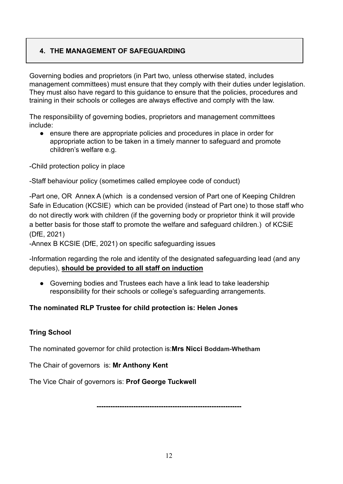## **4. THE MANAGEMENT OF SAFEGUARDING**

Governing bodies and proprietors (in Part two, unless otherwise stated, includes management committees) must ensure that they comply with their duties under legislation. They must also have regard to this guidance to ensure that the policies, procedures and training in their schools or colleges are always effective and comply with the law.

The responsibility of governing bodies, proprietors and management committees include:

● ensure there are appropriate policies and procedures in place in order for appropriate action to be taken in a timely manner to safeguard and promote children's welfare e.g.

-Child protection policy in place

-Staff behaviour policy (sometimes called employee code of conduct)

-Part one, OR Annex A (which is a condensed version of Part one of Keeping Children Safe in Education (KCSIE) which can be provided (instead of Part one) to those staff who do not directly work with children (if the governing body or proprietor think it will provide a better basis for those staff to promote the welfare and safeguard children.) of KCSiE (DfE, 2021)

-Annex B KCSIE (DfE, 2021) on specific safeguarding issues

-Information regarding the role and identity of the designated safeguarding lead (and any deputies), **should be provided to all staff on induction**

● Governing bodies and Trustees each have a link lead to take leadership responsibility for their schools or college's safeguarding arrangements.

## **The nominated RLP Trustee for child protection is: Helen Jones**

## **Tring School**

The nominated governor for child protection is:**Mrs Nicci Boddam-Whetham**

The Chair of governors is: **Mr Anthony Kent**

The Vice Chair of governors is: **Prof George Tuckwell**

**---------------------------------------------------------------**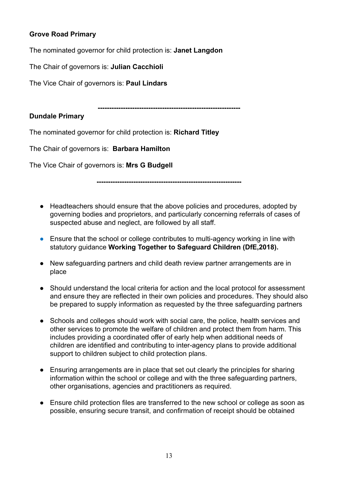## **Grove Road Primary**

The nominated governor for child protection is: **Janet Langdon**

The Chair of governors is: **Julian Cacchioli**

The Vice Chair of governors is: **Paul Lindars**

**--------------------------------------------------------------**

#### **Dundale Primary**

The nominated governor for child protection is: **Richard Titley**

The Chair of governors is: **Barbara Hamilton**

The Vice Chair of governors is: **Mrs G Budgell**

**---------------------------------------------------------------**

- Headteachers should ensure that the above policies and procedures, adopted by governing bodies and proprietors, and particularly concerning referrals of cases of suspected abuse and neglect, are followed by all staff.
- *●* Ensure that the school or college contributes to multi-agency working in line with statutory guidance **Working Together to Safeguard Children (DfE,2018).**
- New safeguarding partners and child death review partner arrangements are in place
- Should understand the local criteria for action and the local protocol for assessment and ensure they are reflected in their own policies and procedures. They should also be prepared to supply information as requested by the three safeguarding partners
- Schools and colleges should work with social care, the police, health services and other services to promote the welfare of children and protect them from harm. This includes providing a coordinated offer of early help when additional needs of children are identified and contributing to inter-agency plans to provide additional support to children subject to child protection plans.
- Ensuring arrangements are in place that set out clearly the principles for sharing information within the school or college and with the three safeguarding partners, other organisations, agencies and practitioners as required.
- Ensure child protection files are transferred to the new school or college as soon as possible, ensuring secure transit, and confirmation of receipt should be obtained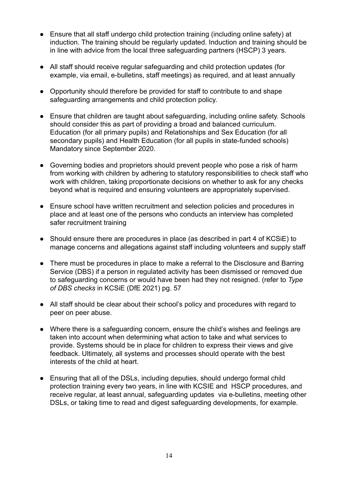- Ensure that all staff undergo child protection training (including online safety) at induction. The training should be regularly updated. Induction and training should be in line with advice from the local three safeguarding partners (HSCP) 3 years.
- All staff should receive regular safeguarding and child protection updates (for example, via email, e-bulletins, staff meetings) as required, and at least annually
- Opportunity should therefore be provided for staff to contribute to and shape safeguarding arrangements and child protection policy.
- Ensure that children are taught about safeguarding, including online safety. Schools should consider this as part of providing a broad and balanced curriculum. Education (for all primary pupils) and Relationships and Sex Education (for all secondary pupils) and Health Education (for all pupils in state-funded schools) Mandatory since September 2020.
- Governing bodies and proprietors should prevent people who pose a risk of harm from working with children by adhering to statutory responsibilities to check staff who work with children, taking proportionate decisions on whether to ask for any checks beyond what is required and ensuring volunteers are appropriately supervised.
- Ensure school have written recruitment and selection policies and procedures in place and at least one of the persons who conducts an interview has completed safer recruitment training
- Should ensure there are procedures in place (as described in part 4 of KCSiE) to manage concerns and allegations against staff including volunteers and supply staff
- There must be procedures in place to make a referral to the Disclosure and Barring Service (DBS) if a person in regulated activity has been dismissed or removed due to safeguarding concerns or would have been had they not resigned. (refer to *Type of DBS checks* in KCSiE (DfE 2021) pg. 57
- All staff should be clear about their school's policy and procedures with regard to peer on peer abuse.
- Where there is a safeguarding concern, ensure the child's wishes and feelings are taken into account when determining what action to take and what services to provide. Systems should be in place for children to express their views and give feedback. Ultimately, all systems and processes should operate with the best interests of the child at heart.
- Ensuring that all of the DSLs, including deputies, should undergo formal child protection training every two years, in line with KCSIE and HSCP procedures, and receive regular, at least annual, safeguarding updates via e-bulletins, meeting other DSLs, or taking time to read and digest safeguarding developments, for example.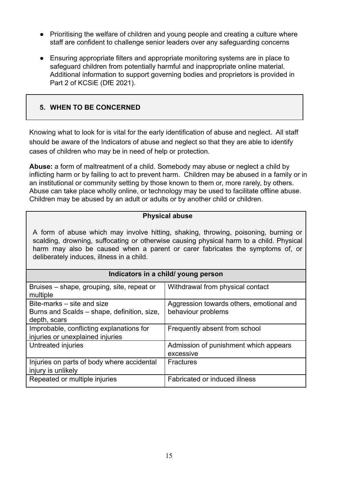- Prioritising the welfare of children and young people and creating a culture where staff are confident to challenge senior leaders over any safeguarding concerns
- Ensuring appropriate filters and appropriate monitoring systems are in place to safeguard children from potentially harmful and inappropriate online material. Additional information to support governing bodies and proprietors is provided in Part 2 of KCSiE (DfE 2021).

## **5. WHEN TO BE CONCERNED**

Knowing what to look for is vital for the early identification of abuse and neglect. All staff should be aware of the Indicators of abuse and neglect so that they are able to identify cases of children who may be in need of help or protection.

**Abuse:** a form of maltreatment of a child. Somebody may abuse or neglect a child by inflicting harm or by failing to act to prevent harm. Children may be abused in a family or in an institutional or community setting by those known to them or, more rarely, by others. Abuse can take place wholly online, or technology may be used to facilitate offline abuse. Children may be abused by an adult or adults or by another child or children.

#### **Physical abuse**

A form of abuse which may involve hitting, shaking, throwing, poisoning, burning or scalding, drowning, suffocating or otherwise causing physical harm to a child. Physical harm may also be caused when a parent or carer fabricates the symptoms of, or deliberately induces, illness in a child.

| Indicators in a child/ young person                                                       |                                                                |  |
|-------------------------------------------------------------------------------------------|----------------------------------------------------------------|--|
| Bruises – shape, grouping, site, repeat or<br>multiple                                    | Withdrawal from physical contact                               |  |
| Bite-marks – site and size<br>Burns and Scalds – shape, definition, size,<br>depth, scars | Aggression towards others, emotional and<br>behaviour problems |  |
| Improbable, conflicting explanations for<br>injuries or unexplained injuries              | Frequently absent from school                                  |  |
| Untreated injuries                                                                        | Admission of punishment which appears<br>excessive             |  |
| Injuries on parts of body where accidental<br>injury is unlikely                          | <b>Fractures</b>                                               |  |
| Repeated or multiple injuries                                                             | Fabricated or induced illness                                  |  |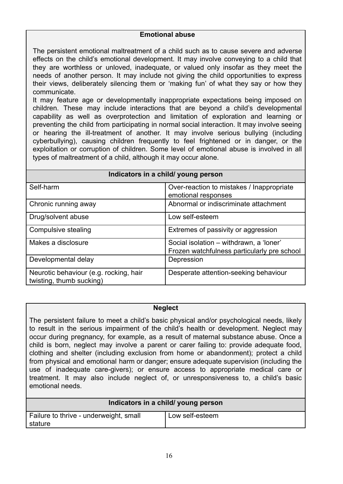#### **Emotional abuse**

The persistent emotional maltreatment of a child such as to cause severe and adverse effects on the child's emotional development. It may involve conveying to a child that they are worthless or unloved, inadequate, or valued only insofar as they meet the needs of another person. It may include not giving the child opportunities to express their views, deliberately silencing them or 'making fun' of what they say or how they communicate.

It may feature age or developmentally inappropriate expectations being imposed on children. These may include interactions that are beyond a child's developmental capability as well as overprotection and limitation of exploration and learning or preventing the child from participating in normal social interaction. It may involve seeing or hearing the ill-treatment of another. It may involve serious bullying (including cyberbullying), causing children frequently to feel frightened or in danger, or the exploitation or corruption of children. Some level of emotional abuse is involved in all types of maltreatment of a child, although it may occur alone.

| Indicators in a child/ young person |                                                                  |  |
|-------------------------------------|------------------------------------------------------------------|--|
| Self-harm                           | Over-reaction to mistakes / Inappropriate<br>emotional responses |  |
| Chronic running away                | Abnormal or indiscriminate attachment                            |  |

|                                                                    | emotional responses                                                                    |
|--------------------------------------------------------------------|----------------------------------------------------------------------------------------|
| Chronic running away                                               | Abnormal or indiscriminate attachment                                                  |
| Drug/solvent abuse                                                 | Low self-esteem                                                                        |
| Compulsive stealing                                                | Extremes of passivity or aggression                                                    |
| Makes a disclosure                                                 | Social isolation - withdrawn, a 'loner'<br>Frozen watchfulness particularly pre school |
| Developmental delay                                                | Depression                                                                             |
| Neurotic behaviour (e.g. rocking, hair<br>twisting, thumb sucking) | Desperate attention-seeking behaviour                                                  |

#### **Neglect**

The persistent failure to meet a child's basic physical and/or psychological needs, likely to result in the serious impairment of the child's health or development. Neglect may occur during pregnancy, for example, as a result of maternal substance abuse. Once a child is born, neglect may involve a parent or carer failing to: provide adequate food, clothing and shelter (including exclusion from home or abandonment); protect a child from physical and emotional harm or danger; ensure adequate supervision (including the use of inadequate care-givers); or ensure access to appropriate medical care or treatment. It may also include neglect of, or unresponsiveness to, a child's basic emotional needs.

| Indicators in a child/ young person               |                 |  |
|---------------------------------------------------|-----------------|--|
| Failure to thrive - underweight, small<br>stature | Low self-esteem |  |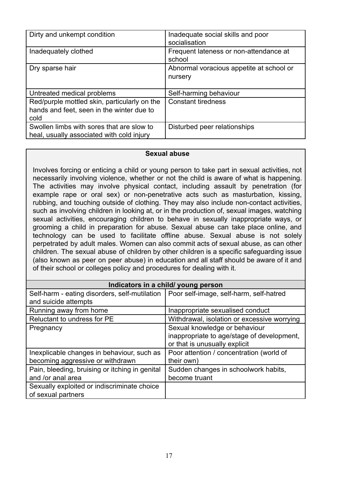| Dirty and unkempt condition                                                                       | Inadequate social skills and poor<br>socialisation  |
|---------------------------------------------------------------------------------------------------|-----------------------------------------------------|
| Inadequately clothed                                                                              | Frequent lateness or non-attendance at<br>school    |
| Dry sparse hair                                                                                   | Abnormal voracious appetite at school or<br>nursery |
| Untreated medical problems                                                                        | Self-harming behaviour                              |
| Red/purple mottled skin, particularly on the<br>hands and feet, seen in the winter due to<br>cold | <b>Constant tiredness</b>                           |
| Swollen limbs with sores that are slow to<br>heal, usually associated with cold injury            | Disturbed peer relationships                        |

#### **Sexual abuse**

Involves forcing or enticing a child or young person to take part in sexual activities, not necessarily involving violence, whether or not the child is aware of what is happening. The activities may involve physical contact, including assault by penetration (for example rape or oral sex) or non-penetrative acts such as masturbation, kissing, rubbing, and touching outside of clothing. They may also include non-contact activities, such as involving children in looking at, or in the production of, sexual images, watching sexual activities, encouraging children to behave in sexually inappropriate ways, or grooming a child in preparation for abuse. Sexual abuse can take place online, and technology can be used to facilitate offline abuse. Sexual abuse is not solely perpetrated by adult males. Women can also commit acts of sexual abuse, as can other children. The sexual abuse of children by other children is a specific safeguarding issue (also known as peer on peer abuse) in education and all staff should be aware of it and of their school or colleges policy and procedures for dealing with it.

#### **Indicators in a child/ young person**

| Self-harm - eating disorders, self-mutilation<br>and suicide attempts          | Poor self-image, self-harm, self-hatred                                                                      |
|--------------------------------------------------------------------------------|--------------------------------------------------------------------------------------------------------------|
| Running away from home                                                         | Inappropriate sexualised conduct                                                                             |
| Reluctant to undress for PE                                                    | Withdrawal, isolation or excessive worrying                                                                  |
| Pregnancy                                                                      | Sexual knowledge or behaviour<br>inappropriate to age/stage of development,<br>or that is unusually explicit |
| Inexplicable changes in behaviour, such as<br>becoming aggressive or withdrawn | Poor attention / concentration (world of<br>their own)                                                       |
| Pain, bleeding, bruising or itching in genital<br>and /or anal area            | Sudden changes in schoolwork habits,<br>become truant                                                        |
| Sexually exploited or indiscriminate choice<br>of sexual partners              |                                                                                                              |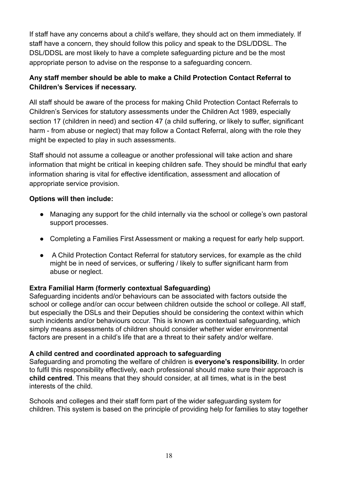If staff have any concerns about a child's welfare, they should act on them immediately. If staff have a concern, they should follow this policy and speak to the DSL/DDSL. The DSL/DDSL are most likely to have a complete safeguarding picture and be the most appropriate person to advise on the response to a safeguarding concern.

## **Any staff member should be able to make a Child Protection Contact Referral to Children's Services if necessary.**

All staff should be aware of the process for making Child Protection Contact Referrals to Children's Services for statutory assessments under the Children Act 1989, especially section 17 (children in need) and section 47 (a child suffering, or likely to suffer, significant harm - from abuse or neglect) that may follow a Contact Referral, along with the role they might be expected to play in such assessments.

Staff should not assume a colleague or another professional will take action and share information that might be critical in keeping children safe. They should be mindful that early information sharing is vital for effective identification, assessment and allocation of appropriate service provision.

## **Options will then include:**

- Managing any support for the child internally via the school or college's own pastoral support processes.
- Completing a Families First Assessment or making a request for early help support.
- A Child Protection Contact Referral for statutory services, for example as the child might be in need of services, or suffering / likely to suffer significant harm from abuse or neglect.

## **Extra Familial Harm (formerly contextual Safeguarding)**

Safeguarding incidents and/or behaviours can be associated with factors outside the school or college and/or can occur between children outside the school or college. All staff, but especially the DSLs and their Deputies should be considering the context within which such incidents and/or behaviours occur. This is known as contextual safeguarding, which simply means assessments of children should consider whether wider environmental factors are present in a child's life that are a threat to their safety and/or welfare.

## **A child centred and coordinated approach to safeguarding**

Safeguarding and promoting the welfare of children is **everyone's responsibility.** In order to fulfil this responsibility effectively, each professional should make sure their approach is **child centred**. This means that they should consider, at all times, what is in the best interests of the child.

Schools and colleges and their staff form part of the wider safeguarding system for children. This system is based on the principle of providing help for families to stay together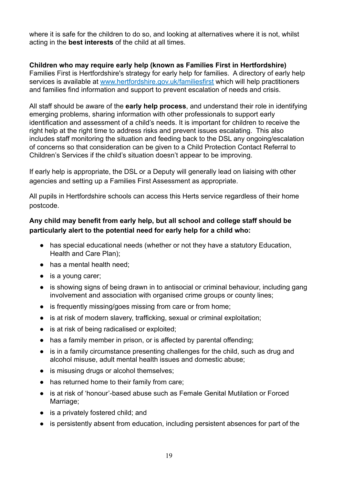where it is safe for the children to do so, and looking at alternatives where it is not, whilst acting in the **best interests** of the child at all times.

#### **Children who may require early help (known as Families First in Hertfordshire)** Families First is Hertfordshire's strategy for early help for families. A directory of early help services is available at [www.hertfordshire.gov.uk/familiesfirst](http://www.hertfordshire.gov.uk/familiesfirst) which will help practitioners and families find information and support to prevent escalation of needs and crisis.

All staff should be aware of the **early help process**, and understand their role in identifying emerging problems, sharing information with other professionals to support early identification and assessment of a child's needs. It is important for children to receive the right help at the right time to address risks and prevent issues escalating. This also includes staff monitoring the situation and feeding back to the DSL any ongoing/escalation of concerns so that consideration can be given to a Child Protection Contact Referral to Children's Services if the child's situation doesn't appear to be improving.

If early help is appropriate, the DSL or a Deputy will generally lead on liaising with other agencies and setting up a Families First Assessment as appropriate.

All pupils in Hertfordshire schools can access this Herts service regardless of their home postcode.

## **Any child may benefit from early help, but all school and college staff should be particularly alert to the potential need for early help for a child who:**

- has special educational needs (whether or not they have a statutory Education, Health and Care Plan);
- has a mental health need;
- is a young carer;
- is showing signs of being drawn in to antisocial or criminal behaviour, including gang involvement and association with organised crime groups or county lines;
- is frequently missing/goes missing from care or from home;
- is at risk of modern slavery, trafficking, sexual or criminal exploitation;
- is at risk of being radicalised or exploited;
- has a family member in prison, or is affected by parental offending;
- is in a family circumstance presenting challenges for the child, such as drug and alcohol misuse, adult mental health issues and domestic abuse;
- is misusing drugs or alcohol themselves;
- has returned home to their family from care;
- is at risk of 'honour'-based abuse such as Female Genital Mutilation or Forced Marriage;
- is a privately fostered child; and
- is persistently absent from education, including persistent absences for part of the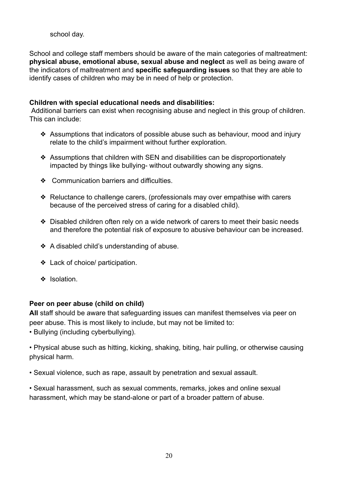#### school day.

School and college staff members should be aware of the main categories of maltreatment: **physical abuse, emotional abuse, sexual abuse and neglect** as well as being aware of the indicators of maltreatment and **specific safeguarding issues** so that they are able to identify cases of children who may be in need of help or protection.

#### **Children with special educational needs and disabilities:**

Additional barriers can exist when recognising abuse and neglect in this group of children. This can include:

- ❖ Assumptions that indicators of possible abuse such as behaviour, mood and injury relate to the child's impairment without further exploration.
- ❖ Assumptions that children with SEN and disabilities can be disproportionately impacted by things like bullying- without outwardly showing any signs.
- ❖ Communication barriers and difficulties.
- ❖ Reluctance to challenge carers, (professionals may over empathise with carers because of the perceived stress of caring for a disabled child).
- ❖ Disabled children often rely on a wide network of carers to meet their basic needs and therefore the potential risk of exposure to abusive behaviour can be increased.
- ❖ A disabled child's understanding of abuse.
- ❖ Lack of choice/ participation.
- ❖ Isolation.

#### **Peer on peer abuse (child on child)**

**All** staff should be aware that safeguarding issues can manifest themselves via peer on peer abuse. This is most likely to include, but may not be limited to:

• Bullying (including cyberbullying).

• Physical abuse such as hitting, kicking, shaking, biting, hair pulling, or otherwise causing physical harm.

• Sexual violence, such as rape, assault by penetration and sexual assault.

• Sexual harassment, such as sexual comments, remarks, jokes and online sexual harassment, which may be stand-alone or part of a broader pattern of abuse.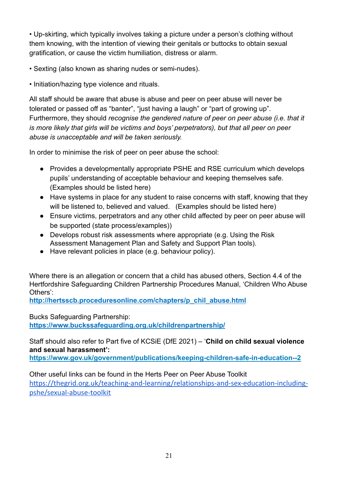• Up-skirting, which typically involves taking a picture under a person's clothing without them knowing, with the intention of viewing their genitals or buttocks to obtain sexual gratification, or cause the victim humiliation, distress or alarm.

• Sexting (also known as sharing nudes or semi-nudes).

• Initiation/hazing type violence and rituals.

All staff should be aware that abuse is abuse and peer on peer abuse will never be tolerated or passed off as "banter", "just having a laugh" or "part of growing up". Furthermore, they should *recognise the gendered nature of peer on peer abuse (i.e. that it is more likely that girls will be victims and boys' perpetrators), but that all peer on peer abuse is unacceptable and will be taken seriously.*

In order to minimise the risk of peer on peer abuse the school:

- Provides a developmentally appropriate PSHE and RSE curriculum which develops pupils' understanding of acceptable behaviour and keeping themselves safe. (Examples should be listed here)
- Have systems in place for any student to raise concerns with staff, knowing that they will be listened to, believed and valued. (Examples should be listed here)
- Ensure victims, perpetrators and any other child affected by peer on peer abuse will be supported (state process/examples))
- Develops robust risk assessments where appropriate (e.g. Using the Risk Assessment Management Plan and Safety and Support Plan tools).
- **●** Have relevant policies in place (e.g. behaviour policy).

Where there is an allegation or concern that a child has abused others, Section 4.4 of the Hertfordshire Safeguarding Children Partnership Procedures Manual, 'Children Who Abuse Others':

**[http://hertsscb.proceduresonline.com/chapters/p\\_chil\\_abuse.html](http://hertsscb.proceduresonline.com/chapters/p_chil_abuse.html)**

Bucks Safeguarding Partnership: **https://www.buckssafeguarding.org.uk/childrenpartnership/**

Staff should also refer to Part five of KCSiE (DfE 2021) – '**Child on child sexual violence and sexual harassment':**

**<https://www.gov.uk/government/publications/keeping-children-safe-in-education--2>**

Other useful links can be found in the Herts Peer on Peer Abuse Toolkit [https://thegrid.org.uk/teaching-and-learning/relationships-and-sex-education-including](https://thegrid.org.uk/teaching-and-learning/relationships-and-sex-education-including-pshe/sexual-abuse-toolkit)[pshe/sexual-abuse-toolkit](https://thegrid.org.uk/teaching-and-learning/relationships-and-sex-education-including-pshe/sexual-abuse-toolkit)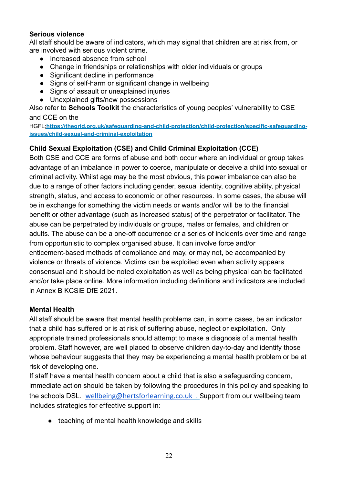## **Serious violence**

All staff should be aware of indicators, which may signal that children are at risk from, or are involved with serious violent crime.

- Increased absence from school
- Change in friendships or relationships with older individuals or groups
- Significant decline in performance
- Signs of self-harm or significant change in wellbeing
- Signs of assault or unexplained injuries
- Unexplained gifts/new possessions

Also refer to **Schools Toolkit** the characteristics of young peoples' vulnerability to CSE and CCE on the

HGFL;**[https://thegrid.org.uk/safeguarding-and-child-protection/child-protection/specific-safeguarding](https://thegrid.org.uk/safeguarding-and-child-protection/child-protection/specific-safeguarding-issues/child-sexual-and-criminal-exploitation)[issues/child-sexual-and-criminal-exploitation](https://thegrid.org.uk/safeguarding-and-child-protection/child-protection/specific-safeguarding-issues/child-sexual-and-criminal-exploitation)**

## **Child Sexual Exploitation (CSE) and Child Criminal Exploitation (CCE)**

Both CSE and CCE are forms of abuse and both occur where an individual or group takes advantage of an imbalance in power to coerce, manipulate or deceive a child into sexual or criminal activity. Whilst age may be the most obvious, this power imbalance can also be due to a range of other factors including gender, sexual identity, cognitive ability, physical strength, status, and access to economic or other resources. In some cases, the abuse will be in exchange for something the victim needs or wants and/or will be to the financial benefit or other advantage (such as increased status) of the perpetrator or facilitator. The abuse can be perpetrated by individuals or groups, males or females, and children or adults. The abuse can be a one-off occurrence or a series of incidents over time and range from opportunistic to complex organised abuse. It can involve force and/or enticement-based methods of compliance and may, or may not, be accompanied by violence or threats of violence. Victims can be exploited even when activity appears consensual and it should be noted exploitation as well as being physical can be facilitated and/or take place online. More information including definitions and indicators are included in Annex B KCSiE DfE 2021.

## **Mental Health**

All staff should be aware that mental health problems can, in some cases, be an indicator that a child has suffered or is at risk of suffering abuse, neglect or exploitation. Only appropriate trained professionals should attempt to make a diagnosis of a mental health problem. Staff however, are well placed to observe children day-to-day and identify those whose behaviour suggests that they may be experiencing a mental health problem or be at risk of developing one.

If staff have a mental health concern about a child that is also a safeguarding concern, immediate action should be taken by following the procedures in this policy and speaking to the schools DSL. [wellbeing@hertsforlearning.co.uk](mailto:wellbeing@hertsforlearning.co.uk) . Support from our wellbeing team includes strategies for effective support in:

● teaching of mental health knowledge and skills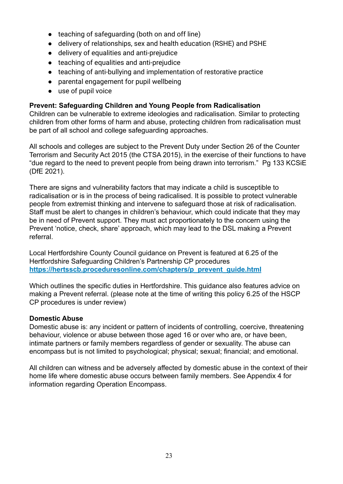- teaching of safeguarding (both on and off line)
- delivery of relationships, sex and health education (RSHE) and PSHE
- delivery of equalities and anti-prejudice
- teaching of equalities and anti-prejudice
- teaching of anti-bullying and implementation of restorative practice
- parental engagement for pupil wellbeing
- use of pupil voice

## **Prevent: Safeguarding Children and Young People from Radicalisation**

Children can be vulnerable to extreme ideologies and radicalisation. Similar to protecting children from other forms of harm and abuse, protecting children from radicalisation must be part of all school and college safeguarding approaches.

All schools and colleges are subject to the Prevent Duty under Section 26 of the Counter Terrorism and Security Act 2015 (the CTSA 2015), in the exercise of their functions to have "due regard to the need to prevent people from being drawn into terrorism." Pg 133 KCSiE (DfE 2021).

There are signs and vulnerability factors that may indicate a child is susceptible to radicalisation or is in the process of being radicalised. It is possible to protect vulnerable people from extremist thinking and intervene to safeguard those at risk of radicalisation. Staff must be alert to changes in children's behaviour, which could indicate that they may be in need of Prevent support. They must act proportionately to the concern using the Prevent 'notice, check, share' approach, which may lead to the DSL making a Prevent referral.

Local Hertfordshire County Council guidance on Prevent is featured at 6.25 of the Hertfordshire Safeguarding Children's Partnership CP procedures **[https://hertsscb.proceduresonline.com/chapters/p\\_prevent\\_guide.html](https://hertsscb.proceduresonline.com/chapters/p_prevent_guide.html)**

Which outlines the specific duties in Hertfordshire. This guidance also features advice on making a Prevent referral. (please note at the time of writing this policy 6.25 of the HSCP CP procedures is under review)

## **Domestic Abuse**

Domestic abuse is: any incident or pattern of incidents of controlling, coercive, threatening behaviour, violence or abuse between those aged 16 or over who are, or have been, intimate partners or family members regardless of gender or sexuality. The abuse can encompass but is not limited to psychological; physical; sexual; financial; and emotional.

All children can witness and be adversely affected by domestic abuse in the context of their home life where domestic abuse occurs between family members. See Appendix 4 for information regarding Operation Encompass.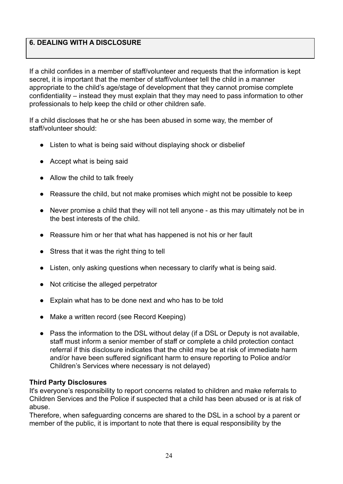## **6. DEALING WITH A DISCLOSURE**

If a child confides in a member of staff/volunteer and requests that the information is kept secret, it is important that the member of staff/volunteer tell the child in a manner appropriate to the child's age/stage of development that they cannot promise complete confidentiality – instead they must explain that they may need to pass information to other professionals to help keep the child or other children safe.

If a child discloses that he or she has been abused in some way, the member of staff/volunteer should:

- Listen to what is being said without displaying shock or disbelief
- Accept what is being said
- Allow the child to talk freely
- Reassure the child, but not make promises which might not be possible to keep
- Never promise a child that they will not tell anyone as this may ultimately not be in the best interests of the child.
- Reassure him or her that what has happened is not his or her fault
- Stress that it was the right thing to tell
- Listen, only asking questions when necessary to clarify what is being said.
- Not criticise the alleged perpetrator
- Explain what has to be done next and who has to be told
- Make a written record (see Record Keeping)
- Pass the information to the DSL without delay (if a DSL or Deputy is not available, staff must inform a senior member of staff or complete a child protection contact referral if this disclosure indicates that the child may be at risk of immediate harm and/or have been suffered significant harm to ensure reporting to Police and/or Children's Services where necessary is not delayed)

#### **Third Party Disclosures**

It's everyone's responsibility to report concerns related to children and make referrals to Children Services and the Police if suspected that a child has been abused or is at risk of abuse.

Therefore, when safeguarding concerns are shared to the DSL in a school by a parent or member of the public, it is important to note that there is equal responsibility by the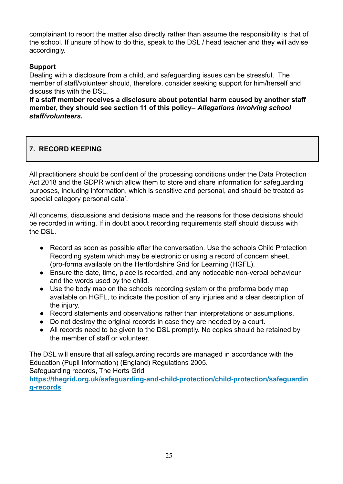complainant to report the matter also directly rather than assume the responsibility is that of the school. If unsure of how to do this, speak to the DSL / head teacher and they will advise accordingly.

## **Support**

Dealing with a disclosure from a child, and safeguarding issues can be stressful. The member of staff/volunteer should, therefore, consider seeking support for him/herself and discuss this with the DSL.

**If a staff member receives a disclosure about potential harm caused by another staff member, they should see section 11 of this policy–** *Allegations involving school staff/volunteers.*

## **7. RECORD KEEPING**

All practitioners should be confident of the processing conditions under the Data Protection Act 2018 and the GDPR which allow them to store and share information for safeguarding purposes, including information, which is sensitive and personal, and should be treated as 'special category personal data'.

All concerns, discussions and decisions made and the reasons for those decisions should be recorded in writing. If in doubt about recording requirements staff should discuss with the DSL.

- Record as soon as possible after the conversation. Use the schools Child Protection Recording system which may be electronic or using a record of concern sheet. (pro-forma available on the Hertfordshire Grid for Learning (HGFL).
- Ensure the date, time, place is recorded, and any noticeable non-verbal behaviour and the words used by the child.
- Use the body map on the schools recording system or the proforma body map available on HGFL, to indicate the position of any injuries and a clear description of the injury.
- Record statements and observations rather than interpretations or assumptions.
- Do not destroy the original records in case they are needed by a court.
- All records need to be given to the DSL promptly. No copies should be retained by the member of staff or volunteer.

The DSL will ensure that all safeguarding records are managed in accordance with the Education (Pupil Information) (England) Regulations 2005.

Safeguarding records, The Herts Grid

**[https://thegrid.org.uk/safeguarding-and-child-protection/child-protection/safeguardin](https://thegrid.org.uk/safeguarding-and-child-protection/child-protection/safeguarding-records) [g-records](https://thegrid.org.uk/safeguarding-and-child-protection/child-protection/safeguarding-records)**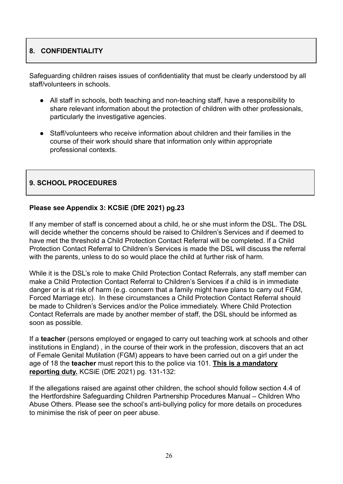## **8. CONFIDENTIALITY**

Safeguarding children raises issues of confidentiality that must be clearly understood by all staff/volunteers in schools.

- All staff in schools, both teaching and non-teaching staff, have a responsibility to share relevant information about the protection of children with other professionals, particularly the investigative agencies.
- Staff/volunteers who receive information about children and their families in the course of their work should share that information only within appropriate professional contexts.

## **9. SCHOOL PROCEDURES**

## **Please see Appendix 3: KCSiE (DfE 2021) pg.23**

If any member of staff is concerned about a child, he or she must inform the DSL. The DSL will decide whether the concerns should be raised to Children's Services and if deemed to have met the threshold a Child Protection Contact Referral will be completed. If a Child Protection Contact Referral to Children's Services is made the DSL will discuss the referral with the parents, unless to do so would place the child at further risk of harm.

While it is the DSL's role to make Child Protection Contact Referrals, any staff member can make a Child Protection Contact Referral to Children's Services if a child is in immediate danger or is at risk of harm (e.g. concern that a family might have plans to carry out FGM, Forced Marriage etc). In these circumstances a Child Protection Contact Referral should be made to Children's Services and/or the Police immediately. Where Child Protection Contact Referrals are made by another member of staff, the DSL should be informed as soon as possible.

If a **teacher** (persons employed or engaged to carry out teaching work at schools and other institutions in England) , in the course of their work in the profession, discovers that an act of Female Genital Mutilation (FGM) appears to have been carried out on a girl under the age of 18 the **teacher** must report this to the police via 101. **This is a mandatory reporting duty.** KCSiE (DfE 2021) pg. 131-132:

If the allegations raised are against other children, the school should follow section 4.4 of the Hertfordshire Safeguarding Children Partnership Procedures Manual – Children Who Abuse Others. Please see the school's anti-bullying policy for more details on procedures to minimise the risk of peer on peer abuse.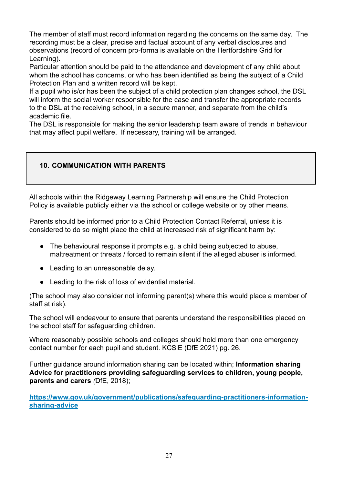The member of staff must record information regarding the concerns on the same day. The recording must be a clear, precise and factual account of any verbal disclosures and observations (record of concern pro-forma is available on the Hertfordshire Grid for Learning).

Particular attention should be paid to the attendance and development of any child about whom the school has concerns, or who has been identified as being the subject of a Child Protection Plan and a written record will be kept.

If a pupil who is/or has been the subject of a child protection plan changes school, the DSL will inform the social worker responsible for the case and transfer the appropriate records to the DSL at the receiving school, in a secure manner, and separate from the child's academic file.

The DSL is responsible for making the senior leadership team aware of trends in behaviour that may affect pupil welfare. If necessary, training will be arranged.

## **10. COMMUNICATION WITH PARENTS**

All schools within the Ridgeway Learning Partnership will ensure the Child Protection Policy is available publicly either via the school or college website or by other means.

Parents should be informed prior to a Child Protection Contact Referral, unless it is considered to do so might place the child at increased risk of significant harm by:

- The behavioural response it prompts e.g. a child being subjected to abuse, maltreatment or threats / forced to remain silent if the alleged abuser is informed.
- Leading to an unreasonable delay.
- Leading to the risk of loss of evidential material.

(The school may also consider not informing parent(s) where this would place a member of staff at risk).

The school will endeavour to ensure that parents understand the responsibilities placed on the school staff for safeguarding children.

Where reasonably possible schools and colleges should hold more than one emergency contact number for each pupil and student. KCSiE (DfE 2021) pg. 26.

Further guidance around information sharing can be located within; **Information sharing Advice for practitioners providing safeguarding services to children, young people, parents and carers** *(*DfE, 2018);

**[https://www.gov.uk/government/publications/safeguarding-practitioners-information](https://www.gov.uk/government/publications/safeguarding-practitioners-information-sharing-advice)[sharing-advice](https://www.gov.uk/government/publications/safeguarding-practitioners-information-sharing-advice)**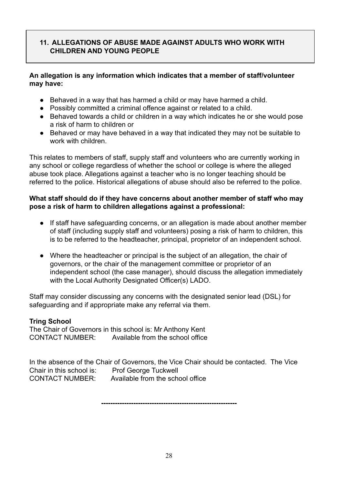## **11. ALLEGATIONS OF ABUSE MADE AGAINST ADULTS WHO WORK WITH CHILDREN AND YOUNG PEOPLE**

## **An allegation is any information which indicates that a member of staff/volunteer may have:**

- Behaved in a way that has harmed a child or may have harmed a child.
- Possibly committed a criminal offence against or related to a child.
- Behaved towards a child or children in a way which indicates he or she would pose a risk of harm to children or
- Behaved or may have behaved in a way that indicated they may not be suitable to work with children.

This relates to members of staff, supply staff and volunteers who are currently working in any school or college regardless of whether the school or college is where the alleged abuse took place. Allegations against a teacher who is no longer teaching should be referred to the police. Historical allegations of abuse should also be referred to the police.

## **What staff should do if they have concerns about another member of staff who may pose a risk of harm to children allegations against a professional:**

- If staff have safeguarding concerns, or an allegation is made about another member of staff (including supply staff and volunteers) posing a risk of harm to children, this is to be referred to the headteacher, principal, proprietor of an independent school.
- Where the headteacher or principal is the subject of an allegation, the chair of governors, or the chair of the management committee or proprietor of an independent school (the case manager), should discuss the allegation immediately with the Local Authority Designated Officer(s) LADO.

Staff may consider discussing any concerns with the designated senior lead (DSL) for safeguarding and if appropriate make any referral via them.

## **Tring School**

The Chair of Governors in this school is: Mr Anthony Kent CONTACT NUMBER: Available from the school office

In the absence of the Chair of Governors, the Vice Chair should be contacted. The Vice Chair in this school is: Prof George Tuckwell CONTACT NUMBER: Available from the school office

**-----------------------------------------------------------**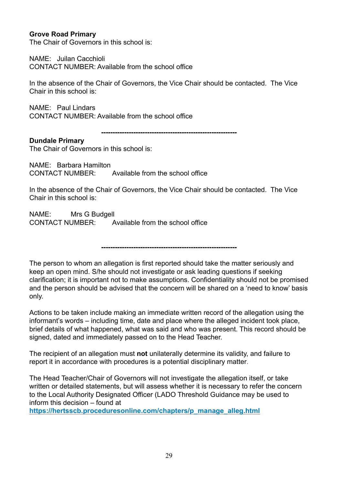#### **Grove Road Primary**

The Chair of Governors in this school is:

NAME: Juilan Cacchioli CONTACT NUMBER: Available from the school office

In the absence of the Chair of Governors, the Vice Chair should be contacted. The Vice Chair in this school is:

NAME: Paul Lindars CONTACT NUMBER: Available from the school office

**-----------------------------------------------------------**

#### **Dundale Primary**

The Chair of Governors in this school is:

NAME: Barbara Hamilton CONTACT NUMBER: Available from the school office

In the absence of the Chair of Governors, the Vice Chair should be contacted. The Vice Chair in this school is:

NAME: Mrs G Budgell CONTACT NUMBER: Available from the school office

**-----------------------------------------------------------**

The person to whom an allegation is first reported should take the matter seriously and keep an open mind. S/he should not investigate or ask leading questions if seeking clarification; it is important not to make assumptions. Confidentiality should not be promised and the person should be advised that the concern will be shared on a 'need to know' basis only.

Actions to be taken include making an immediate written record of the allegation using the informant's words – including time, date and place where the alleged incident took place, brief details of what happened, what was said and who was present. This record should be signed, dated and immediately passed on to the Head Teacher.

The recipient of an allegation must **not** unilaterally determine its validity, and failure to report it in accordance with procedures is a potential disciplinary matter.

The Head Teacher/Chair of Governors will not investigate the allegation itself, or take written or detailed statements, but will assess whether it is necessary to refer the concern to the Local Authority Designated Officer (LADO Threshold Guidance may be used to inform this decision – found at

**[https://hertsscb.proceduresonline.com/chapters/p\\_manage\\_alleg.html](https://hertsscb.proceduresonline.com/chapters/p_manage_alleg.html)**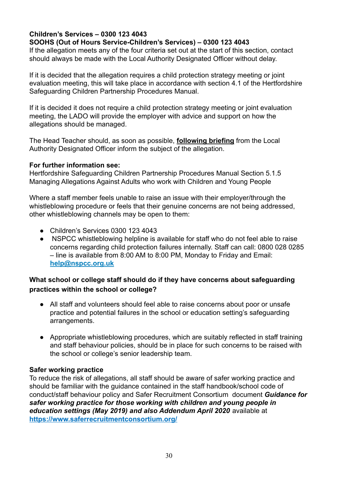## **Children's Services – 0300 123 4043**

## **SOOHS (Out of Hours Service-Children's Services) – 0300 123 4043**

If the allegation meets any of the four criteria set out at the start of this section, contact should always be made with the Local Authority Designated Officer without delay.

If it is decided that the allegation requires a child protection strategy meeting or joint evaluation meeting, this will take place in accordance with section 4.1 of the Hertfordshire Safeguarding Children Partnership Procedures Manual.

If it is decided it does not require a child protection strategy meeting or joint evaluation meeting, the LADO will provide the employer with advice and support on how the allegations should be managed.

The Head Teacher should, as soon as possible, **following briefing** from the Local Authority Designated Officer inform the subject of the allegation.

#### **For further information see:**

Hertfordshire Safeguarding Children Partnership Procedures Manual Section 5.1.5 [Managing Allegations Against Adults who work with Children and Young People](http://www.proceduresonline.com/herts_scb/chapters/p_manage_alleg.html)

Where a staff member feels unable to raise an issue with their employer/through the whistleblowing procedure or feels that their genuine concerns are not being addressed, other whistleblowing channels may be open to them:

- Children's Services 0300 123 4043
- NSPCC whistleblowing helpline is available for staff who do not feel able to raise concerns regarding child protection failures internally. Staff can call: 0800 028 0285 – line is available from 8:00 AM to 8:00 PM, Monday to Friday and Email: **[help@nspcc.org.uk](mailto:help@nspcc.org.uk)**

## **What school or college staff should do if they have concerns about safeguarding practices within the school or college?**

- All staff and volunteers should feel able to raise concerns about poor or unsafe practice and potential failures in the school or education setting's safeguarding arrangements.
- **●** Appropriate whistleblowing procedures, which are suitably reflected in staff training and staff behaviour policies, should be in place for such concerns to be raised with the school or college's senior leadership team.

## **Safer working practice**

To reduce the risk of allegations, all staff should be aware of safer working practice and should be familiar with the guidance contained in the staff handbook/school code of conduct/staff behaviour policy and Safer Recruitment Consortium document *Guidance for safer working practice for those working with children and young people in education settings (May 2019) and also Addendum April 2020* available at **<https://www.saferrecruitmentconsortium.org/>**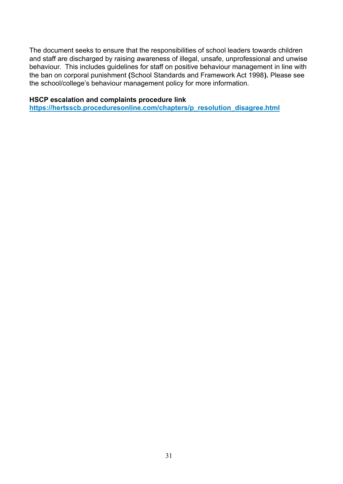The document seeks to ensure that the responsibilities of school leaders towards children and staff are discharged by raising awareness of illegal, unsafe, unprofessional and unwise behaviour. This includes guidelines for staff on positive behaviour management in line with the ban on corporal punishment **(**School Standards and Framework Act 1998**).** Please see the school/college's behaviour management policy for more information.

#### **HSCP escalation and complaints procedure link**

**[https://hertsscb.proceduresonline.com/chapters/p\\_resolution\\_disagree.html](https://hertsscb.proceduresonline.com/chapters/p_resolution_disagree.html)**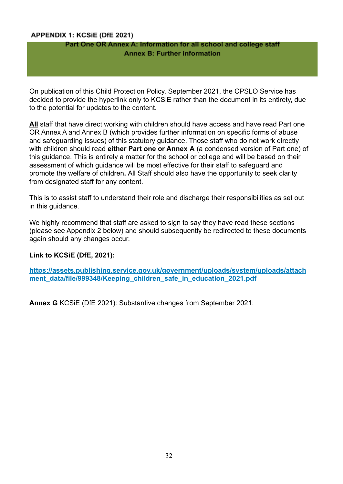#### APPENDIX 1: KCSIE (DfE 2021)

#### Part One OR Annex A: Information for all school and college staff **Annex B: Further information**

On publication of this Child Protection Policy, September 2021, the CPSLO Service has decided to provide the hyperlink only to KCSiE rather than the document in its entirety, due to the potential for updates to the content.

**All** staff that have direct working with children should have access and have read Part one OR Annex A and Annex B (which provides further information on specific forms of abuse and safeguarding issues) of this statutory guidance. Those staff who do not work directly with children should read **either Part one or Annex A** (a condensed version of Part one) of this guidance. This is entirely a matter for the school or college and will be based on their assessment of which guidance will be most effective for their staff to safeguard and promote the welfare of children**.** All Staff should also have the opportunity to seek clarity from designated staff for any content.

This is to assist staff to understand their role and discharge their responsibilities as set out in this guidance.

We highly recommend that staff are asked to sign to say they have read these sections (please see Appendix 2 below) and should subsequently be redirected to these documents again should any changes occur.

#### **Link to KCSiE (DfE, 2021):**

**[https://assets.publishing.service.gov.uk/government/uploads/system/uploads/attach](https://assets.publishing.service.gov.uk/government/uploads/system/uploads/attachment_data/file/999348/Keeping_children_safe_in_education_2021.pdf)** ment data/file/999348/Keeping children safe in education 2021.pdf

**Annex G** KCSiE (DfE 2021): Substantive changes from September 2021: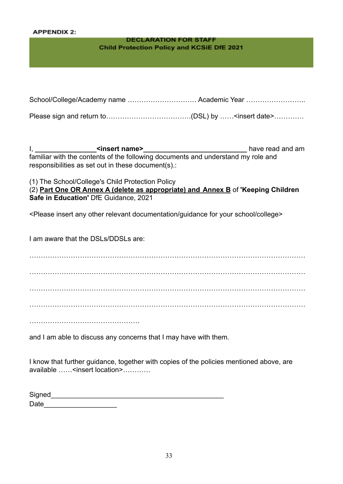#### **APPENDIX 2:**

#### **DECLARATION FOR STAFF Child Protection Policy and KCSiE DfE 2021**

| School/College/Academy name  Academic Year |  |
|--------------------------------------------|--|
|                                            |  |

Please sign and return to……………………………….(DSL) by ……<insert date>………….

I, **\_\_\_\_\_\_\_\_\_\_\_\_\_\_\_\_<insert name>\_\_\_\_\_\_\_\_\_\_\_\_\_\_\_\_\_\_\_\_\_\_\_\_\_\_\_** have read and am familiar with the contents of the following documents and understand my role and responsibilities as set out in these document(s).:

(1) The School/College's Child Protection Policy

(2) **Part One OR Annex A (delete as appropriate) and Annex B** of **'Keeping Children Safe in Education'** DfE Guidance, 2021

<Please insert any other relevant documentation/guidance for your school/college>

I am aware that the DSLs/DDSLs are:

………………………………………………………………………………………………………… ………………………………………………………………………………………………………… ………………………………………………………………………………………………………… ………………………………………………………………………………………………………… ……………………………………………………

and I am able to discuss any concerns that I may have with them.

I know that further guidance, together with copies of the policies mentioned above, are available ……<insert location>

| Signed |  |
|--------|--|
| Date   |  |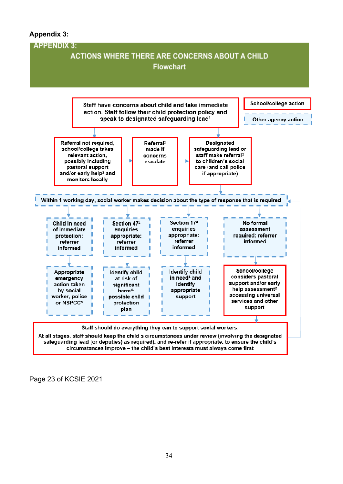## **Appendix 3:**



Page 23 of KCSIE 2021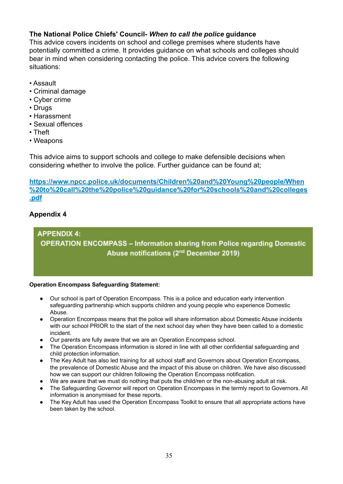## **The National Police Chiefs' Council-** *When to call the police* **guidance**

This advice covers incidents on school and college premises where students have potentially committed a crime. It provides guidance on what schools and colleges should bear in mind when considering contacting the police. This advice covers the following situations:

- Assault
- Criminal damage
- Cyber crime
- Drugs
- Harassment
- Sexual offences
- Theft
- Weapons

This advice aims to support schools and college to make defensible decisions when considering whether to involve the police. Further guidance can be found at;

**[https://www.npcc.police.uk/documents/Children%20and%20Young%20people/When](https://www.npcc.police.uk/documents/Children%20and%20Young%20people/When%20to%20call%20the%20police%20guidance%20for%20schools%20and%20colleges.pdf) [%20to%20call%20the%20police%20guidance%20for%20schools%20and%20colleges](https://www.npcc.police.uk/documents/Children%20and%20Young%20people/When%20to%20call%20the%20police%20guidance%20for%20schools%20and%20colleges.pdf) [.pdf](https://www.npcc.police.uk/documents/Children%20and%20Young%20people/When%20to%20call%20the%20police%20guidance%20for%20schools%20and%20colleges.pdf)**

## **Appendix 4**

**APPENDIX 4: OPERATION ENCOMPASS - Information sharing from Police regarding Domestic** Abuse notifications (2<sup>nd</sup> December 2019)

#### **Operation Encompass Safeguarding Statement:**

- Our school is part of Operation Encompass. This is a police and education early intervention safeguarding partnership which supports children and young people who experience Domestic Abuse.
- Operation Encompass means that the police will share information about Domestic Abuse incidents with our school PRIOR to the start of the next school day when they have been called to a domestic incident.
- Our parents are fully aware that we are an Operation Encompass school.
- The Operation Encompass information is stored in line with all other confidential safeguarding and child protection information.
- The Key Adult has also led training for all school staff and Governors about Operation Encompass, the prevalence of Domestic Abuse and the impact of this abuse on children. We have also discussed how we can support our children following the Operation Encompass notification.
- We are aware that we must do nothing that puts the child/ren or the non-abusing adult at risk.
- The Safeguarding Governor will report on Operation Encompass in the termly report to Governors. All information is anonymised for these reports.
- The Key Adult has used the Operation Encompass Toolkit to ensure that all appropriate actions have been taken by the school.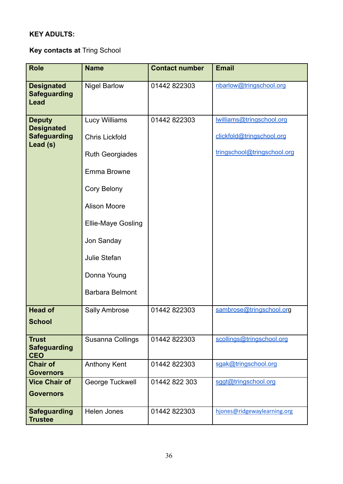## **KEY ADULTS:**

**Key contacts at** Tring School

| <b>Role</b>                                                           | <b>Name</b>                                                                                                                                                                                                               | <b>Contact number</b> | <b>Email</b>                                                                         |
|-----------------------------------------------------------------------|---------------------------------------------------------------------------------------------------------------------------------------------------------------------------------------------------------------------------|-----------------------|--------------------------------------------------------------------------------------|
| <b>Designated</b><br><b>Safeguarding</b><br>Lead                      | <b>Nigel Barlow</b>                                                                                                                                                                                                       | 01442 822303          | nbarlow@tringschool.org                                                              |
| <b>Deputy</b><br><b>Designated</b><br><b>Safeguarding</b><br>Lead (s) | Lucy Williams<br><b>Chris Lickfold</b><br><b>Ruth Georgiades</b><br>Emma Browne<br>Cory Belony<br><b>Alison Moore</b><br><b>Ellie-Maye Gosling</b><br>Jon Sanday<br>Julie Stefan<br>Donna Young<br><b>Barbara Belmont</b> | 01442 822303          | williams@tringschool.org<br>clickfold@tringschool.org<br>tringschool@tringschool.org |
| <b>Head of</b><br><b>School</b>                                       | <b>Sally Ambrose</b>                                                                                                                                                                                                      | 01442 822303          | sambrose@tringschool.org                                                             |
| <b>Trust</b><br><b>Safeguarding</b><br><b>CEO</b>                     | Susanna Collings                                                                                                                                                                                                          | 01442 822303          | scollings@tringschool.org                                                            |
| <b>Chair of</b><br><b>Governors</b>                                   | <b>Anthony Kent</b>                                                                                                                                                                                                       | 01442 822303          | sgak@tringschool.org                                                                 |
| <b>Vice Chair of</b><br><b>Governors</b>                              | George Tuckwell                                                                                                                                                                                                           | 01442 822 303         | sggt@tringschool.org                                                                 |
| <b>Safeguarding</b><br><b>Trustee</b>                                 | <b>Helen Jones</b>                                                                                                                                                                                                        | 01442 822303          | hjones@ridgewaylearning.org                                                          |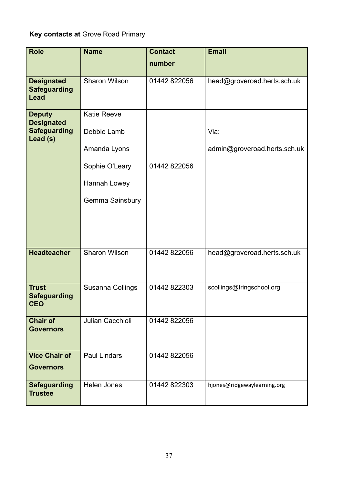# **Key contacts at** Grove Road Primary

| <b>Role</b>                                          | <b>Name</b>          | <b>Contact</b> | <b>Email</b>                 |
|------------------------------------------------------|----------------------|----------------|------------------------------|
|                                                      |                      | number         |                              |
|                                                      |                      |                |                              |
| <b>Designated</b><br><b>Safeguarding</b><br>Lead     | <b>Sharon Wilson</b> | 01442 822056   | head@groveroad.herts.sch.uk  |
| <b>Deputy</b>                                        | <b>Katie Reeve</b>   |                |                              |
| <b>Designated</b><br><b>Safeguarding</b><br>Lead (s) | Debbie Lamb          |                | Via:                         |
|                                                      | Amanda Lyons         |                | admin@groveroad.herts.sch.uk |
|                                                      | Sophie O'Leary       | 01442 822056   |                              |
|                                                      | Hannah Lowey         |                |                              |
|                                                      | Gemma Sainsbury      |                |                              |
|                                                      |                      |                |                              |
| <b>Headteacher</b>                                   | Sharon Wilson        | 01442 822056   | head@groveroad.herts.sch.uk  |
|                                                      |                      |                |                              |
| <b>Trust</b><br><b>Safeguarding</b><br><b>CEO</b>    | Susanna Collings     | 01442822303    | scollings@tringschool.org    |
| <b>Chair of</b><br><b>Governors</b>                  | Julian Cacchioli     | 01442 822056   |                              |
| <b>Vice Chair of</b>                                 | <b>Paul Lindars</b>  | 01442 822056   |                              |
| <b>Governors</b>                                     |                      |                |                              |
| <b>Safeguarding</b><br><b>Trustee</b>                | Helen Jones          | 01442 822303   | hjones@ridgewaylearning.org  |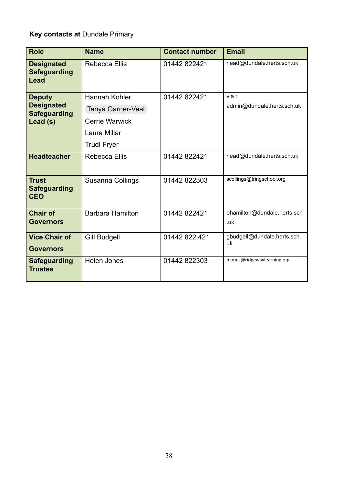# **Key contacts at** Dundale Primary

| <b>Role</b>                                                           | <b>Name</b>                                                                                       | <b>Contact number</b> | <b>Email</b>                        |
|-----------------------------------------------------------------------|---------------------------------------------------------------------------------------------------|-----------------------|-------------------------------------|
| <b>Designated</b><br><b>Safeguarding</b><br>Lead                      | <b>Rebecca Ellis</b>                                                                              | 01442 822421          | head@dundale.herts.sch.uk           |
| <b>Deputy</b><br><b>Designated</b><br><b>Safeguarding</b><br>Lead (s) | Hannah Kohler<br>Tanya Garner-Veal<br><b>Cerrie Warwick</b><br>Laura Millar<br><b>Trudi Fryer</b> | 01442 822421          | via :<br>admin@dundale.herts.sch.uk |
| <b>Headteacher</b>                                                    | <b>Rebecca Ellis</b>                                                                              | 01442 822421          | head@dundale.herts.sch.uk           |
| <b>Trust</b><br><b>Safeguarding</b><br><b>CEO</b>                     | Susanna Collings                                                                                  | 01442 822303          | scollings@tringschool.org           |
| <b>Chair of</b><br><b>Governors</b>                                   | <b>Barbara Hamilton</b>                                                                           | 01442822421           | bhamilton@dundale.herts.sch<br>.uk  |
| <b>Vice Chair of</b><br><b>Governors</b>                              | <b>Gill Budgell</b>                                                                               | 01442 822 421         | gbudgell@dundale.herts.sch.<br>uk   |
| <b>Safeguarding</b><br><b>Trustee</b>                                 | <b>Helen Jones</b>                                                                                | 01442822303           | hjones@ridgewaylearning.org         |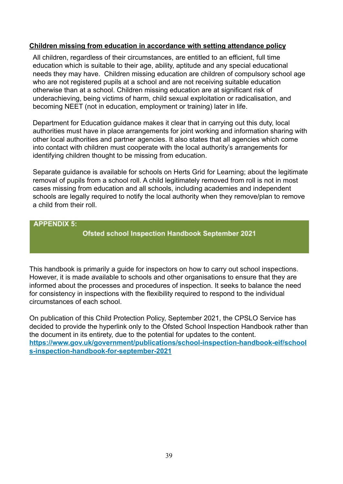#### **Children missing from education in accordance with setting attendance policy**

All children, regardless of their circumstances, are entitled to an efficient, full time education which is suitable to their age, ability, aptitude and any special educational needs they may have. Children missing education are children of compulsory school age who are not registered pupils at a school and are not receiving suitable education otherwise than at a school. Children missing education are at significant risk of underachieving, being victims of harm, child sexual exploitation or radicalisation, and becoming NEET (not in education, employment or training) later in life.

Department for Education guidance makes it clear that in carrying out this duty, local authorities must have in place arrangements for joint working and information sharing with other local authorities and partner agencies. It also states that all agencies which come into contact with children must cooperate with the local authority's arrangements for identifying children thought to be missing from education.

Separate guidance is available for schools on Herts Grid for Learning; about the legitimate removal of pupils from a school roll. A child legitimately removed from roll is not in most cases missing from education and all schools, including academies and independent schools are legally required to notify the local authority when they remove/plan to remove a child from their roll.

#### **APPENDIX 5:**

**Ofsted school Inspection Handbook September 2021** 

This handbook is primarily a guide for inspectors on how to carry out school inspections. However, it is made available to schools and other organisations to ensure that they are informed about the processes and procedures of inspection. It seeks to balance the need for consistency in inspections with the flexibility required to respond to the individual circumstances of each school.

On publication of this Child Protection Policy, September 2021, the CPSLO Service has decided to provide the hyperlink only to the Ofsted School Inspection Handbook rather than the document in its entirety, due to the potential for updates to the content. **[https://www.gov.uk/government/publications/school-inspection-handbook-eif/school](https://www.gov.uk/government/publications/school-inspection-handbook-eif/schools-inspection-handbook-for-september-2021) [s-inspection-handbook-for-september-2021](https://www.gov.uk/government/publications/school-inspection-handbook-eif/schools-inspection-handbook-for-september-2021)**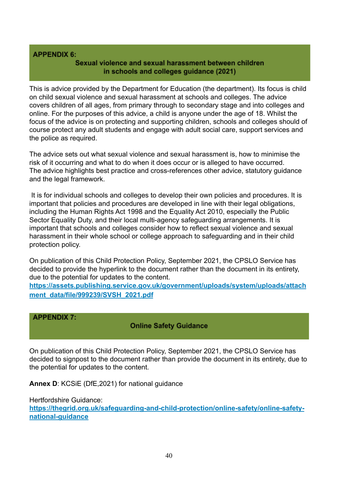#### **APPENDIX 6:**

#### Sexual violence and sexual harassment between children in schools and colleges guidance (2021)

This is advice provided by the Department for Education (the department). Its focus is child on child sexual violence and sexual harassment at schools and colleges. The advice covers children of all ages, from primary through to secondary stage and into colleges and online. For the purposes of this advice, a child is anyone under the age of 18. Whilst the focus of the advice is on protecting and supporting children, schools and colleges should of course protect any adult students and engage with adult social care, support services and the police as required.

The advice sets out what sexual violence and sexual harassment is, how to minimise the risk of it occurring and what to do when it does occur or is alleged to have occurred. The advice highlights best practice and cross-references other advice, statutory guidance and the legal framework.

It is for individual schools and colleges to develop their own policies and procedures. It is important that policies and procedures are developed in line with their legal obligations, including the Human Rights Act 1998 and the Equality Act 2010, especially the Public Sector Equality Duty, and their local multi-agency safeguarding arrangements. It is important that schools and colleges consider how to reflect sexual violence and sexual harassment in their whole school or college approach to safeguarding and in their child protection policy.

On publication of this Child Protection Policy, September 2021, the CPSLO Service has decided to provide the hyperlink to the document rather than the document in its entirety, due to the potential for updates to the content.

**[https://assets.publishing.service.gov.uk/government/uploads/system/uploads/attach](https://assets.publishing.service.gov.uk/government/uploads/system/uploads/attachment_data/file/999239/SVSH_2021.pdf) [ment\\_data/file/999239/SVSH\\_2021.pdf](https://assets.publishing.service.gov.uk/government/uploads/system/uploads/attachment_data/file/999239/SVSH_2021.pdf)**

#### **APPENDIX 7:**

## **Online Safety Guidance**

On publication of this Child Protection Policy, September 2021, the CPSLO Service has decided to signpost to the document rather than provide the document in its entirety, due to the potential for updates to the content.

**Annex D**: KCSiE (DfE,2021) for national guidance

Hertfordshire Guidance:

**[https://thegrid.org.uk/safeguarding-and-child-protection/online-safety/online-safety](https://thegrid.org.uk/safeguarding-and-child-protection/online-safety/online-safety-national-guidance)[national-guidance](https://thegrid.org.uk/safeguarding-and-child-protection/online-safety/online-safety-national-guidance)**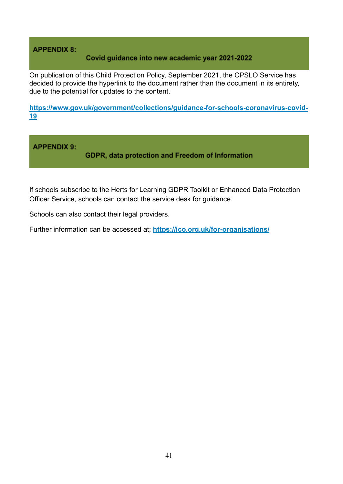## **APPENDIX 8:**

#### Covid guidance into new academic year 2021-2022

On publication of this Child Protection Policy, September 2021, the CPSLO Service has decided to provide the hyperlink to the document rather than the document in its entirety, due to the potential for updates to the content.

**[https://www.gov.uk/government/collections/guidance-for-schools-coronavirus-covid-](https://www.gov.uk/government/collections/guidance-for-schools-coronavirus-covid-19)[19](https://www.gov.uk/government/collections/guidance-for-schools-coronavirus-covid-19)**

**APPENDIX 9:**<br>GDPR, data protection and Freedom of Information

If schools subscribe to the Herts for Learning GDPR Toolkit or Enhanced Data Protection Officer Service, schools can contact the service desk for guidance.

Schools can also contact their legal providers.

Further information can be accessed at; **<https://ico.org.uk/for-organisations/>**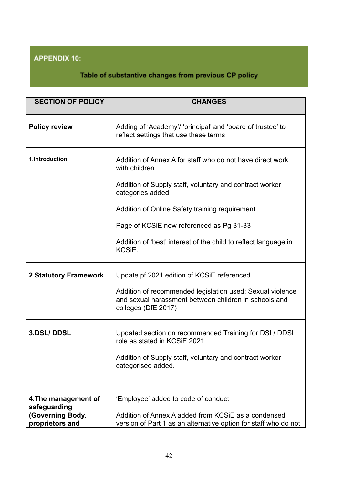# **APPENDIX 10:**

# Table of substantive changes from previous CP policy

| <b>SECTION OF POLICY</b>                                                    | <b>CHANGES</b>                                                                                                                                                                                                                                                                                                                              |
|-----------------------------------------------------------------------------|---------------------------------------------------------------------------------------------------------------------------------------------------------------------------------------------------------------------------------------------------------------------------------------------------------------------------------------------|
| <b>Policy review</b>                                                        | Adding of 'Academy'/ 'principal' and 'board of trustee' to<br>reflect settings that use these terms                                                                                                                                                                                                                                         |
| 1.Introduction                                                              | Addition of Annex A for staff who do not have direct work<br>with children<br>Addition of Supply staff, voluntary and contract worker<br>categories added<br>Addition of Online Safety training requirement<br>Page of KCSIE now referenced as Pg 31-33<br>Addition of 'best' interest of the child to reflect language in<br><b>KCSiE.</b> |
|                                                                             |                                                                                                                                                                                                                                                                                                                                             |
| <b>2.Statutory Framework</b>                                                | Update pf 2021 edition of KCSiE referenced<br>Addition of recommended legislation used; Sexual violence<br>and sexual harassment between children in schools and<br>colleges (DfE 2017)                                                                                                                                                     |
| 3.DSL/DDSL                                                                  | Updated section on recommended Training for DSL/ DDSL<br>role as stated in KCSiE 2021<br>Addition of Supply staff, voluntary and contract worker<br>categorised added.                                                                                                                                                                      |
| 4. The management of<br>safeguarding<br>(Governing Body,<br>proprietors and | 'Employee' added to code of conduct<br>Addition of Annex A added from KCSiE as a condensed<br>version of Part 1 as an alternative option for staff who do not                                                                                                                                                                               |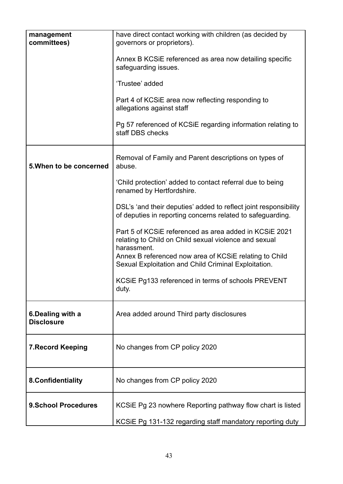| management<br>committees)              | have direct contact working with children (as decided by<br>governors or proprietors).                                         |
|----------------------------------------|--------------------------------------------------------------------------------------------------------------------------------|
|                                        | Annex B KCSIE referenced as area now detailing specific<br>safeguarding issues.                                                |
|                                        | 'Trustee' added                                                                                                                |
|                                        | Part 4 of KCSIE area now reflecting responding to<br>allegations against staff                                                 |
|                                        | Pg 57 referenced of KCSIE regarding information relating to<br>staff DBS checks                                                |
| 5. When to be concerned                | Removal of Family and Parent descriptions on types of<br>abuse.                                                                |
|                                        | 'Child protection' added to contact referral due to being<br>renamed by Hertfordshire.                                         |
|                                        | DSL's 'and their deputies' added to reflect joint responsibility<br>of deputies in reporting concerns related to safeguarding. |
|                                        | Part 5 of KCSIE referenced as area added in KCSIE 2021<br>relating to Child on Child sexual violence and sexual<br>harassment. |
|                                        | Annex B referenced now area of KCSiE relating to Child<br>Sexual Exploitation and Child Criminal Exploitation.                 |
|                                        | KCSIE Pg133 referenced in terms of schools PREVENT<br>duty.                                                                    |
| 6. Dealing with a<br><b>Disclosure</b> | Area added around Third party disclosures                                                                                      |
| <b>7. Record Keeping</b>               | No changes from CP policy 2020                                                                                                 |
| 8.Confidentiality                      | No changes from CP policy 2020                                                                                                 |
| <b>9.School Procedures</b>             | KCSIE Pg 23 nowhere Reporting pathway flow chart is listed                                                                     |
|                                        | KCSiE Pg 131-132 regarding staff mandatory reporting duty                                                                      |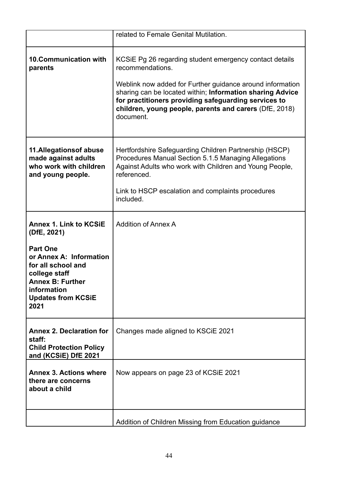|                                                                                                                  | related to Female Genital Mutilation.                                                                                                                                                                                                                                                                                                |
|------------------------------------------------------------------------------------------------------------------|--------------------------------------------------------------------------------------------------------------------------------------------------------------------------------------------------------------------------------------------------------------------------------------------------------------------------------------|
| <b>10.Communication with</b><br>parents                                                                          | KCSIE Pg 26 regarding student emergency contact details<br>recommendations.<br>Weblink now added for Further guidance around information<br>sharing can be located within; Information sharing Advice<br>for practitioners providing safeguarding services to<br>children, young people, parents and carers (DfE, 2018)<br>document. |
| 11. Allegations of abuse<br>made against adults<br>who work with children<br>and young people.                   | Hertfordshire Safeguarding Children Partnership (HSCP)<br>Procedures Manual Section 5.1.5 Managing Allegations<br>Against Adults who work with Children and Young People,<br>referenced.<br>Link to HSCP escalation and complaints procedures<br>included.                                                                           |
| <b>Annex 1. Link to KCSIE</b><br>(DfE, 2021)<br><b>Part One</b><br>or Annex A: Information<br>for all school and | <b>Addition of Annex A</b>                                                                                                                                                                                                                                                                                                           |
| college staff<br><b>Annex B: Further</b><br>information<br><b>Updates from KCSiE</b><br>2021                     |                                                                                                                                                                                                                                                                                                                                      |
| <b>Annex 2. Declaration for</b><br>staff:<br><b>Child Protection Policy</b><br>and (KCSiE) DfE 2021              | Changes made aligned to KSCIE 2021                                                                                                                                                                                                                                                                                                   |
| <b>Annex 3. Actions where</b><br>there are concerns<br>about a child                                             | Now appears on page 23 of KCSIE 2021                                                                                                                                                                                                                                                                                                 |
|                                                                                                                  | Addition of Children Missing from Education guidance                                                                                                                                                                                                                                                                                 |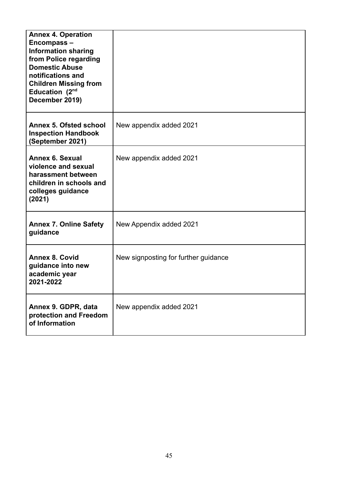| <b>Annex 4. Operation</b><br>Encompass-<br><b>Information sharing</b><br>from Police regarding<br><b>Domestic Abuse</b><br>notifications and<br><b>Children Missing from</b><br>Education (2 <sup>nd</sup><br>December 2019) |                                      |
|------------------------------------------------------------------------------------------------------------------------------------------------------------------------------------------------------------------------------|--------------------------------------|
| <b>Annex 5. Ofsted school</b><br><b>Inspection Handbook</b><br>(September 2021)                                                                                                                                              | New appendix added 2021              |
| <b>Annex 6. Sexual</b><br>violence and sexual<br>harassment between<br>children in schools and<br>colleges guidance<br>(2021)                                                                                                | New appendix added 2021              |
| <b>Annex 7. Online Safety</b><br>guidance                                                                                                                                                                                    | New Appendix added 2021              |
| <b>Annex 8. Covid</b><br>guidance into new<br>academic year<br>2021-2022                                                                                                                                                     | New signposting for further guidance |
| Annex 9. GDPR, data<br>protection and Freedom<br>of Information                                                                                                                                                              | New appendix added 2021              |